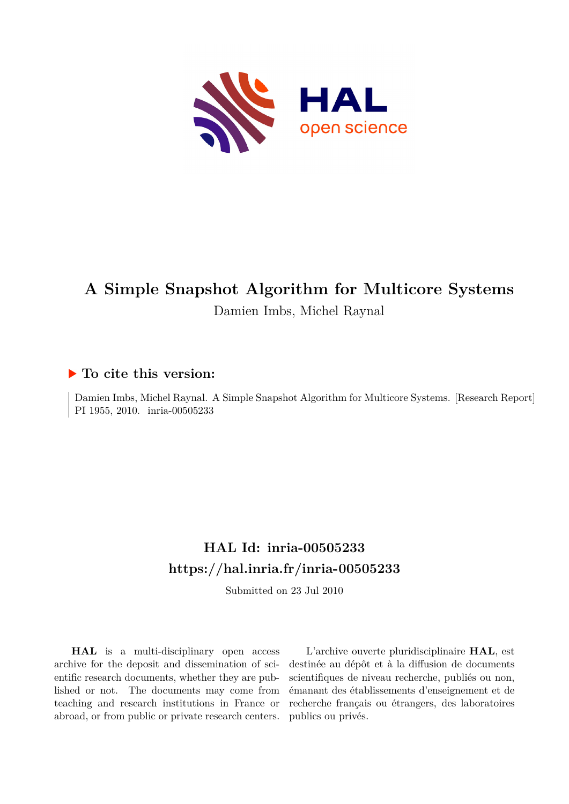

# **A Simple Snapshot Algorithm for Multicore Systems** Damien Imbs, Michel Raynal

## **To cite this version:**

Damien Imbs, Michel Raynal. A Simple Snapshot Algorithm for Multicore Systems. [Research Report] PI 1955, 2010. inria-00505233

# **HAL Id: inria-00505233 <https://hal.inria.fr/inria-00505233>**

Submitted on 23 Jul 2010

**HAL** is a multi-disciplinary open access archive for the deposit and dissemination of scientific research documents, whether they are published or not. The documents may come from teaching and research institutions in France or abroad, or from public or private research centers.

L'archive ouverte pluridisciplinaire **HAL**, est destinée au dépôt et à la diffusion de documents scientifiques de niveau recherche, publiés ou non, émanant des établissements d'enseignement et de recherche français ou étrangers, des laboratoires publics ou privés.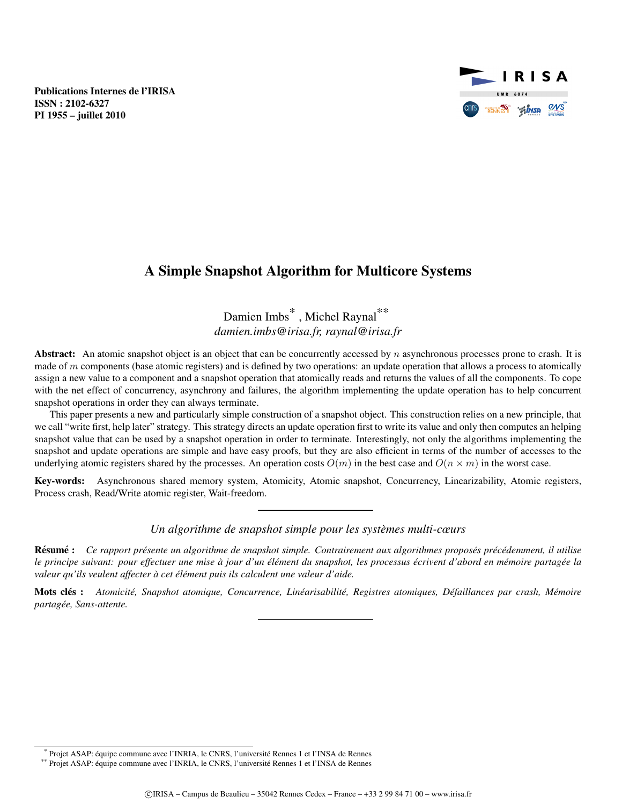Publications Internes de l'IRISA ISSN : 2102-6327 PI 1955 – juillet 2010



# A Simple Snapshot Algorithm for Multicore Systems

# Damien Imbs\* , Michel Raynal\*\* *damien.imbs@irisa.fr, raynal@irisa.fr*

**Abstract:** An atomic snapshot object is an object that can be concurrently accessed by n asynchronous processes prone to crash. It is made of  $m$  components (base atomic registers) and is defined by two operations: an update operation that allows a process to atomically assign a new value to a component and a snapshot operation that atomically reads and returns the values of all the components. To cope with the net effect of concurrency, asynchrony and failures, the algorithm implementing the update operation has to help concurrent snapshot operations in order they can always terminate.

This paper presents a new and particularly simple construction of a snapshot object. This construction relies on a new principle, that we call "write first, help later" strategy. This strategy directs an update operation first to write its value and only then computes an helping snapshot value that can be used by a snapshot operation in order to terminate. Interestingly, not only the algorithms implementing the snapshot and update operations are simple and have easy proofs, but they are also efficient in terms of the number of accesses to the underlying atomic registers shared by the processes. An operation costs  $O(m)$  in the best case and  $O(n \times m)$  in the worst case.

Key-words: Asynchronous shared memory system, Atomicity, Atomic snapshot, Concurrency, Linearizability, Atomic registers, Process crash, Read/Write atomic register, Wait-freedom.

#### *Un algorithme de snapshot simple pour les systemes multi-cœurs `*

Résumé : Ce rapport présente un algorithme de snapshot simple. Contrairement aux algorithmes proposés précédemment, il utilise le principe suivant: pour effectuer une mise à jour d'un élément du snapshot, les processus écrivent d'abord en mémoire partagée la *valeur qu'ils veulent affecter a cet ` el´ ement puis ils calculent une valeur d'aide. ´*

Mots clés : Atomicité, Snapshot atomique, Concurrence, Linéarisabilité, Registres atomiques, Défaillances par crash, Mémoire *partagee, Sans-attente. ´*

Projet ASAP: équipe commune avec l'INRIA, le CNRS, l'université Rennes 1 et l'INSA de Rennes

<sup>\*\*</sup> Projet ASAP: équipe commune avec l'INRIA, le CNRS, l'université Rennes 1 et l'INSA de Rennes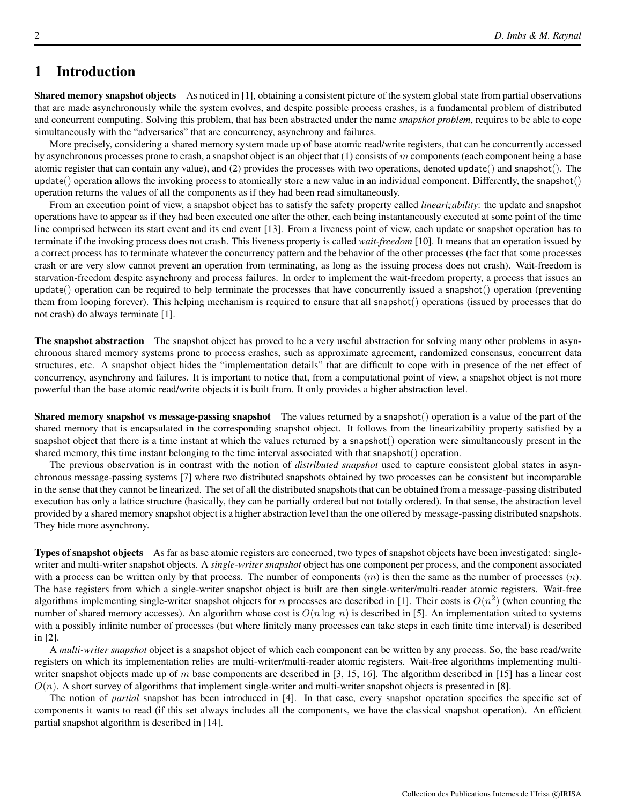### 1 Introduction

Shared memory snapshot objects As noticed in [1], obtaining a consistent picture of the system global state from partial observations that are made asynchronously while the system evolves, and despite possible process crashes, is a fundamental problem of distributed and concurrent computing. Solving this problem, that has been abstracted under the name *snapshot problem*, requires to be able to cope simultaneously with the "adversaries" that are concurrency, asynchrony and failures.

More precisely, considering a shared memory system made up of base atomic read/write registers, that can be concurrently accessed by asynchronous processes prone to crash, a snapshot object is an object that  $(1)$  consists of m components (each component being a base atomic register that can contain any value), and (2) provides the processes with two operations, denoted update() and snapshot(). The  $u$  update() operation allows the invoking process to atomically store a new value in an individual component. Differently, the snapshot() operation returns the values of all the components as if they had been read simultaneously.

From an execution point of view, a snapshot object has to satisfy the safety property called *linearizability*: the update and snapshot operations have to appear as if they had been executed one after the other, each being instantaneously executed at some point of the time line comprised between its start event and its end event [13]. From a liveness point of view, each update or snapshot operation has to terminate if the invoking process does not crash. This liveness property is called *wait-freedom* [10]. It means that an operation issued by a correct process has to terminate whatever the concurrency pattern and the behavior of the other processes (the fact that some processes crash or are very slow cannot prevent an operation from terminating, as long as the issuing process does not crash). Wait-freedom is starvation-freedom despite asynchrony and process failures. In order to implement the wait-freedom property, a process that issues an update() operation can be required to help terminate the processes that have concurrently issued a snapshot() operation (preventing them from looping forever). This helping mechanism is required to ensure that all snapshot() operations (issued by processes that do not crash) do always terminate [1].

The snapshot abstraction The snapshot object has proved to be a very useful abstraction for solving many other problems in asynchronous shared memory systems prone to process crashes, such as approximate agreement, randomized consensus, concurrent data structures, etc. A snapshot object hides the "implementation details" that are difficult to cope with in presence of the net effect of concurrency, asynchrony and failures. It is important to notice that, from a computational point of view, a snapshot object is not more powerful than the base atomic read/write objects it is built from. It only provides a higher abstraction level.

Shared memory snapshot vs message-passing snapshot The values returned by a snapshot() operation is a value of the part of the shared memory that is encapsulated in the corresponding snapshot object. It follows from the linearizability property satisfied by a snapshot object that there is a time instant at which the values returned by a snapshot() operation were simultaneously present in the shared memory, this time instant belonging to the time interval associated with that snapshot() operation.

The previous observation is in contrast with the notion of *distributed snapshot* used to capture consistent global states in asynchronous message-passing systems [7] where two distributed snapshots obtained by two processes can be consistent but incomparable in the sense that they cannot be linearized. The set of all the distributed snapshots that can be obtained from a message-passing distributed execution has only a lattice structure (basically, they can be partially ordered but not totally ordered). In that sense, the abstraction level provided by a shared memory snapshot object is a higher abstraction level than the one offered by message-passing distributed snapshots. They hide more asynchrony.

Types of snapshot objects As far as base atomic registers are concerned, two types of snapshot objects have been investigated: singlewriter and multi-writer snapshot objects. A *single-writer snapshot* object has one component per process, and the component associated with a process can be written only by that process. The number of components  $(m)$  is then the same as the number of processes  $(n)$ . The base registers from which a single-writer snapshot object is built are then single-writer/multi-reader atomic registers. Wait-free algorithms implementing single-writer snapshot objects for *n* processes are described in [1]. Their costs is  $O(n^2)$  (when counting the number of shared memory accesses). An algorithm whose cost is  $O(n \log n)$  is described in [5]. An implementation suited to systems with a possibly infinite number of processes (but where finitely many processes can take steps in each finite time interval) is described in [2].

A *multi-writer snapshot* object is a snapshot object of which each component can be written by any process. So, the base read/write registers on which its implementation relies are multi-writer/multi-reader atomic registers. Wait-free algorithms implementing multiwriter snapshot objects made up of m base components are described in [3, 15, 16]. The algorithm described in [15] has a linear cost  $O(n)$ . A short survey of algorithms that implement single-writer and multi-writer snapshot objects is presented in [8].

The notion of *partial* snapshot has been introduced in [4]. In that case, every snapshot operation specifies the specific set of components it wants to read (if this set always includes all the components, we have the classical snapshot operation). An efficient partial snapshot algorithm is described in [14].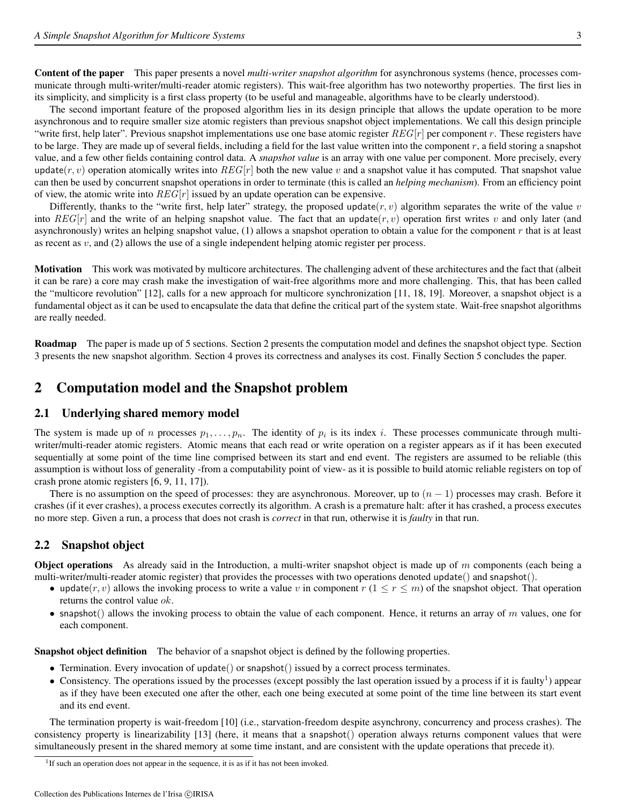Content of the paper This paper presents a novel *multi-writer snapshot algorithm* for asynchronous systems (hence, processes communicate through multi-writer/multi-reader atomic registers). This wait-free algorithm has two noteworthy properties. The first lies in its simplicity, and simplicity is a first class property (to be useful and manageable, algorithms have to be clearly understood).

The second important feature of the proposed algorithm lies in its design principle that allows the update operation to be more asynchronous and to require smaller size atomic registers than previous snapshot object implementations. We call this design principle "write first, help later". Previous snapshot implementations use one base atomic register  $REG[r]$  per component r. These registers have to be large. They are made up of several fields, including a field for the last value written into the component  $r$ , a field storing a snapshot value, and a few other fields containing control data. A *snapshot value* is an array with one value per component. More precisely, every update(r, v) operation atomically writes into  $REG[r]$  both the new value v and a snapshot value it has computed. That snapshot value can then be used by concurrent snapshot operations in order to terminate (this is called an *helping mechanism*). From an efficiency point of view, the atomic write into  $REG[r]$  issued by an update operation can be expensive.

Differently, thanks to the "write first, help later" strategy, the proposed update( $r, v$ ) algorithm separates the write of the value v into  $REG[r]$  and the write of an helping snapshot value. The fact that an update(r, v) operation first writes v and only later (and asynchronously) writes an helping snapshot value,  $(1)$  allows a snapshot operation to obtain a value for the component r that is at least as recent as  $v$ , and (2) allows the use of a single independent helping atomic register per process.

Motivation This work was motivated by multicore architectures. The challenging advent of these architectures and the fact that (albeit it can be rare) a core may crash make the investigation of wait-free algorithms more and more challenging. This, that has been called the "multicore revolution" [12], calls for a new approach for multicore synchronization [11, 18, 19]. Moreover, a snapshot object is a fundamental object as it can be used to encapsulate the data that define the critical part of the system state. Wait-free snapshot algorithms are really needed.

Roadmap The paper is made up of 5 sections. Section 2 presents the computation model and defines the snapshot object type. Section 3 presents the new snapshot algorithm. Section 4 proves its correctness and analyses its cost. Finally Section 5 concludes the paper.

### 2 Computation model and the Snapshot problem

#### 2.1 Underlying shared memory model

The system is made up of n processes  $p_1, \ldots, p_n$ . The identity of  $p_i$  is its index i. These processes communicate through multiwriter/multi-reader atomic registers. Atomic means that each read or write operation on a register appears as if it has been executed sequentially at some point of the time line comprised between its start and end event. The registers are assumed to be reliable (this assumption is without loss of generality -from a computability point of view- as it is possible to build atomic reliable registers on top of crash prone atomic registers [6, 9, 11, 17]).

There is no assumption on the speed of processes: they are asynchronous. Moreover, up to  $(n - 1)$  processes may crash. Before it crashes (if it ever crashes), a process executes correctly its algorithm. A crash is a premature halt: after it has crashed, a process executes no more step. Given a run, a process that does not crash is *correct* in that run, otherwise it is *faulty* in that run.

#### 2.2 Snapshot object

**Object operations** As already said in the Introduction, a multi-writer snapshot object is made up of  $m$  components (each being a multi-writer/multi-reader atomic register) that provides the processes with two operations denoted update() and snapshot().

- update $(r, v)$  allows the invoking process to write a value v in component  $r (1 \le r \le m)$  of the snapshot object. That operation returns the control value  $ok$ .
- snapshot() allows the invoking process to obtain the value of each component. Hence, it returns an array of m values, one for each component.

Snapshot object definition The behavior of a snapshot object is defined by the following properties.

- Termination. Every invocation of update() or snapshot() issued by a correct process terminates.
- Consistency. The operations issued by the processes (except possibly the last operation issued by a process if it is faulty<sup>1</sup>) appear as if they have been executed one after the other, each one being executed at some point of the time line between its start event and its end event.

The termination property is wait-freedom [10] (i.e., starvation-freedom despite asynchrony, concurrency and process crashes). The consistency property is linearizability [13] (here, it means that a snapshot() operation always returns component values that were simultaneously present in the shared memory at some time instant, and are consistent with the update operations that precede it).

<sup>&</sup>lt;sup>1</sup>If such an operation does not appear in the sequence, it is as if it has not been invoked.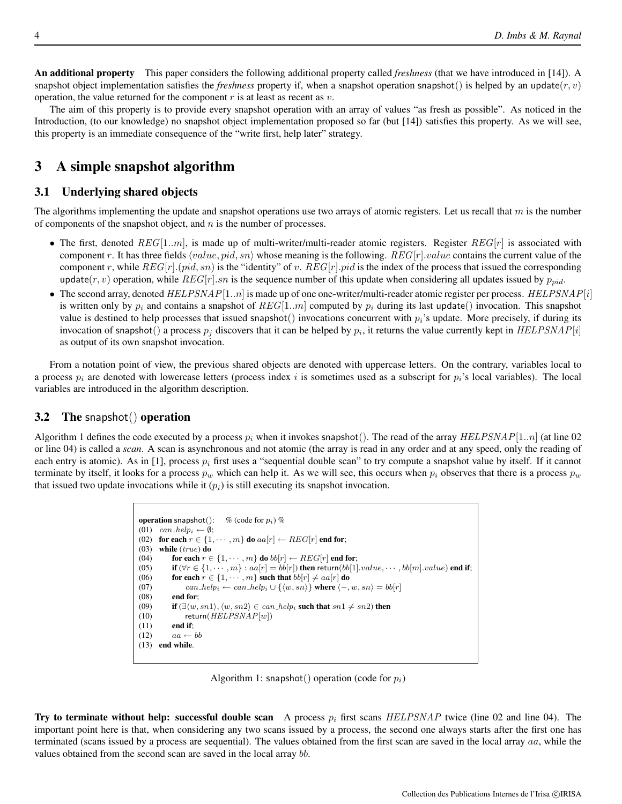An additional property This paper considers the following additional property called *freshness* (that we have introduced in [14]). A snapshot object implementation satisfies the *freshness* property if, when a snapshot operation snapshot() is helped by an update $(r, v)$ operation, the value returned for the component  $r$  is at least as recent as  $v$ .

The aim of this property is to provide every snapshot operation with an array of values "as fresh as possible". As noticed in the Introduction, (to our knowledge) no snapshot object implementation proposed so far (but [14]) satisfies this property. As we will see, this property is an immediate consequence of the "write first, help later" strategy.

## 3 A simple snapshot algorithm

#### 3.1 Underlying shared objects

The algorithms implementing the update and snapshot operations use two arrays of atomic registers. Let us recall that  $m$  is the number of components of the snapshot object, and  $n$  is the number of processes.

- The first, denoted  $REG[1..m]$ , is made up of multi-writer/multi-reader atomic registers. Register  $REG[r]$  is associated with component r. It has three fields  $\langle value, pid, sn \rangle$  whose meaning is the following.  $REG[r].value$  contains the current value of the component r, while  $REG[r] \cdot (pid, sn)$  is the "identity" of v.  $REG[r] \cdot pid$  is the index of the process that issued the corresponding update(r, v) operation, while  $REG[r].sn$  is the sequence number of this update when considering all updates issued by  $p_{pid}$ .
- The second array, denoted  $HELPSNAP[1..n]$  is made up of one one-writer/multi-reader atomic register per process.  $HELPSNAP[i]$ is written only by  $p_i$  and contains a snapshot of  $REG[1..m]$  computed by  $p_i$  during its last update() invocation. This snapshot value is destined to help processes that issued snapshot() invocations concurrent with  $p_i$ 's update. More precisely, if during its invocation of snapshot() a process  $p_j$  discovers that it can be helped by  $p_i$ , it returns the value currently kept in  $HELPSNAP[i]$ as output of its own snapshot invocation.

From a notation point of view, the previous shared objects are denoted with uppercase letters. On the contrary, variables local to a process  $p_i$  are denoted with lowercase letters (process index i is sometimes used as a subscript for  $p_i$ 's local variables). The local variables are introduced in the algorithm description.

#### **3.2** The snapshot() operation

Algorithm 1 defines the code executed by a process  $p_i$  when it invokes snapshot(). The read of the array HELPSNAP[1..n] (at line 02 or line 04) is called a *scan*. A scan is asynchronous and not atomic (the array is read in any order and at any speed, only the reading of each entry is atomic). As in [1], process  $p_i$  first uses a "sequential double scan" to try compute a snapshot value by itself. If it cannot terminate by itself, it looks for a process  $p_w$  which can help it. As we will see, this occurs when  $p_i$  observes that there is a process  $p_w$ that issued two update invocations while it  $(p<sub>i</sub>)$  is still executing its snapshot invocation.

```
operation snapshot(): % (code for p_i) %
(01) can_{\neg} help_i \leftarrow \emptyset;(02) for each r \in \{1, \cdots, m\} do aa[r] \leftarrow REG[r] end for;
(03) while (true) do
(04) for each r \in \{1, \cdots, m\} do bb[r] \leftarrow \mathit{REG}[r] end for;
(05) if (\forall r \in \{1, \dots, m\} : aa[r] = bb[r]) then return(bb[1].value, \dots, bb[m].value) end if;
(06) for each r \in \{1, \dots, m\} such that bb[r] \neq aa[r] do
(07) can helpi ← can helpi ∪ {\langle w, sn \rangle} where \langle -, w, sn \rangle = bb[r]<br>(08) end for;
           end for:
(09) if (\exists \langle w, sn1 \rangle, \langle w, sn2 \rangle \in can_help_i such that sn1 \neq sn2) then
(10) return(HELPSNAP[w])(11) end if;
(12) aa \leftarrow bb(13) end while.
```
Algorithm 1: snapshot() operation (code for  $p_i$ )

**Try to terminate without help: successful double scan** A process  $p_i$  first scans HELPSNAP twice (line 02 and line 04). The important point here is that, when considering any two scans issued by a process, the second one always starts after the first one has terminated (scans issued by a process are sequential). The values obtained from the first scan are saved in the local array  $aa$ , while the values obtained from the second scan are saved in the local array bb.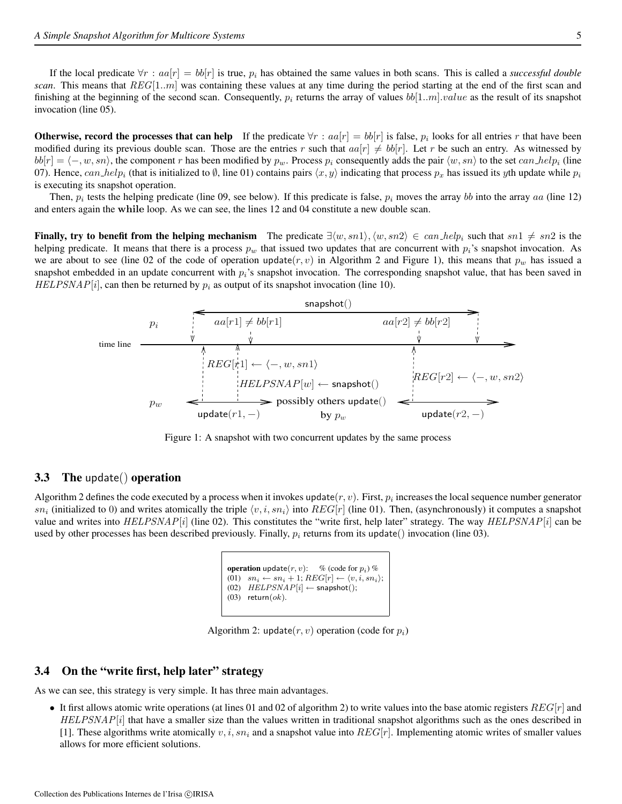If the local predicate  $\forall r : aa[r] = bb[r]$  is true,  $p_i$  has obtained the same values in both scans. This is called a *successful double scan*. This means that REG[1..m] was containing these values at any time during the period starting at the end of the first scan and finishing at the beginning of the second scan. Consequently,  $p_i$  returns the array of values  $bb[1..m].value$  as the result of its snapshot invocation (line 05).

**Otherwise, record the processes that can help** If the predicate  $\forall r : aa[r] = bb[r]$  is false,  $p_i$  looks for all entries r that have been modified during its previous double scan. Those are the entries r such that  $aa[r] \neq bb[r]$ . Let r be such an entry. As witnessed by  $bb[r] = \langle -, w, sn \rangle$ , the component r has been modified by  $p_w$ . Process  $p_i$  consequently adds the pair  $\langle w, sn \rangle$  to the set can help<sub>i</sub> (line 07). Hence, can help<sub>i</sub> (that is initialized to Ø, line 01) contains pairs  $\langle x, y \rangle$  indicating that process  $p_x$  has issued its yth update while  $p_i$ is executing its snapshot operation.

Then,  $p_i$  tests the helping predicate (line 09, see below). If this predicate is false,  $p_i$  moves the array bb into the array aa (line 12) and enters again the while loop. As we can see, the lines 12 and 04 constitute a new double scan.

**Finally, try to benefit from the helping mechanism** The predicate  $\exists \langle w, sn1 \rangle, \langle w, sn2 \rangle \in can_help_i$  such that  $sn1 \neq sn2$  is the helping predicate. It means that there is a process  $p_w$  that issued two updates that are concurrent with  $p_i$ 's snapshot invocation. As we are about to see (line 02 of the code of operation update(r, v) in Algorithm 2 and Figure 1), this means that  $p_w$  has issued a snapshot embedded in an update concurrent with  $p_i$ 's snapshot invocation. The corresponding snapshot value, that has been saved in HELPSNAP[i], can then be returned by  $p_i$  as output of its snapshot invocation (line 10).



Figure 1: A snapshot with two concurrent updates by the same process

#### 3.3 The update() operation

Algorithm 2 defines the code executed by a process when it invokes update $(r, v)$ . First,  $p_i$  increases the local sequence number generator  $sn_i$  (initialized to 0) and writes atomically the triple  $\langle v, i, sn_i \rangle$  into  $REG[r]$  (line 01). Then, (asynchronously) it computes a snapshot value and writes into  $HELPSNAP[i]$  (line 02). This constitutes the "write first, help later" strategy. The way  $HELPSNAP[i]$  can be used by other processes has been described previously. Finally,  $p_i$  returns from its update() invocation (line 03).

```
operation update(r, v): % (code for p_i) %
(01) sn_i \leftarrow sn_i + 1; REG[r] \leftarrow \langle v, i, sn_i \rangle;(02) HELPSNAP[i] \leftarrow snapshot();
(03) return(ok).
```
Algorithm 2: update $(r, v)$  operation (code for  $p_i$ )

#### 3.4 On the "write first, help later" strategy

As we can see, this strategy is very simple. It has three main advantages.

• It first allows atomic write operations (at lines 01 and 02 of algorithm 2) to write values into the base atomic registers  $REG[r]$  and  $HELPSNAP[i]$  that have a smaller size than the values written in traditional snapshot algorithms such as the ones described in [1]. These algorithms write atomically  $v, i, sn_i$  and a snapshot value into  $REG[r]$ . Implementing atomic writes of smaller values allows for more efficient solutions.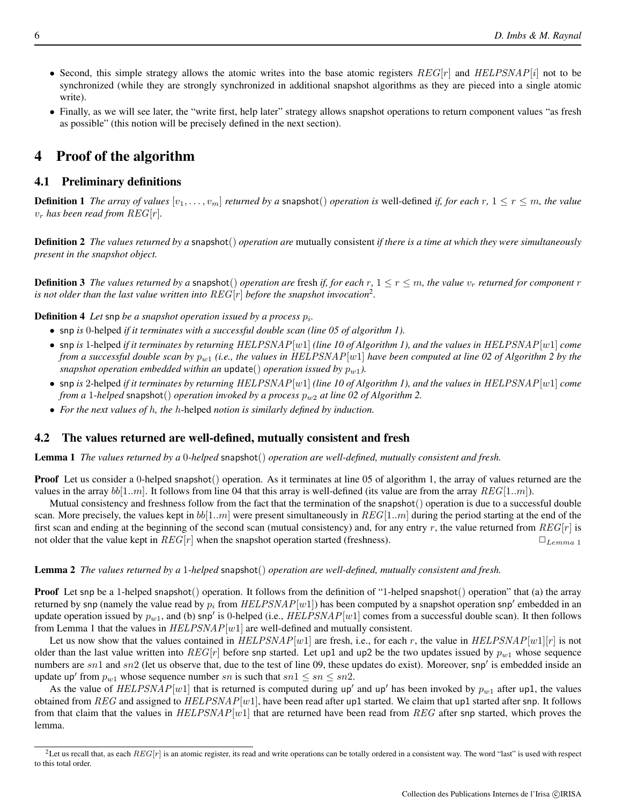- Second, this simple strategy allows the atomic writes into the base atomic registers  $REG[r]$  and  $HELPSNAP[i]$  not to be synchronized (while they are strongly synchronized in additional snapshot algorithms as they are pieced into a single atomic write).
- Finally, as we will see later, the "write first, help later" strategy allows snapshot operations to return component values "as fresh as possible" (this notion will be precisely defined in the next section).

## 4 Proof of the algorithm

#### 4.1 Preliminary definitions

**Definition 1** *The array of values*  $[v_1, \ldots, v_m]$  *returned by a* snapshot() *operation is* well-defined *if, for each* r,  $1 \leq r \leq m$ *, the value*  $v_r$  *has been read from REG*[r].

Definition 2 *The values returned by a* snapshot() *operation are* mutually consistent *if there is a time at which they were simultaneously present in the snapshot object.*

**Definition 3** The values returned by a snapshot() operation are fresh if, for each r,  $1 \le r \le m$ , the value  $v_r$  returned for component r is not older than the last value written into  $REG[r]$  before the snapshot invocation<sup>2</sup>.

**Definition 4** Let snp be a snapshot operation issued by a process  $p_i$ .

- snp *is* 0-helped *if it terminates with a successful double scan (line 05 of algorithm 1).*
- snp *is* 1-helped *if it terminates by returning* HELPSNAP[w1] *(line 10 of Algorithm 1), and the values in* HELPSNAP[w1] *come from a successful double scan by* pw<sup>1</sup> *(i.e., the values in* HELPSNAP[w1] *have been computed at line 02 of Algorithm 2 by the snapshot operation embedded within an*  $update()$  *operation issued by*  $p_{w1}$ *).*
- snp *is* 2-helped *if it terminates by returning* HELPSNAP[w1] *(line 10 of Algorithm 1), and the values in* HELPSNAP[w1] *come from a* 1-helped snapshot() *operation invoked by a process*  $p_{w2}$  *at line 02 of Algorithm 2.*
- *For the next values of* h*, the* h-helped *notion is similarly defined by induction.*

#### 4.2 The values returned are well-defined, mutually consistent and fresh

Lemma 1 *The values returned by a* 0*-helped* snapshot() *operation are well-defined, mutually consistent and fresh.*

Proof Let us consider a 0-helped snapshot() operation. As it terminates at line 05 of algorithm 1, the array of values returned are the values in the array  $bb[1..m]$ . It follows from line 04 that this array is well-defined (its value are from the array  $REG[1..m]$ ).

Mutual consistency and freshness follow from the fact that the termination of the snapshot $()$  operation is due to a successful double scan. More precisely, the values kept in  $bb[1..m]$  were present simultaneously in  $REG[1..m]$  during the period starting at the end of the first scan and ending at the beginning of the second scan (mutual consistency) and, for any entry r, the value returned from  $REG[r]$  is not older that the value kept in  $REG[r]$  when the snapshot operation started (freshness).  $\square_{Lemma \{1\}}$ 

Lemma 2 *The values returned by a* 1*-helped* snapshot() *operation are well-defined, mutually consistent and fresh.*

**Proof** Let snp be a 1-helped snapshot() operation. It follows from the definition of "1-helped snapshot() operation" that (a) the array returned by snp (namely the value read by  $p_i$  from  $HELPSNAP[w1]$ ) has been computed by a snapshot operation snp' embedded in an update operation issued by  $p_{w1}$ , and (b) snp' is 0-helped (i.e.,  $HELPSNAP[w1]$  comes from a successful double scan). It then follows from Lemma 1 that the values in  $HELPSNAP[w1]$  are well-defined and mutually consistent.

Let us now show that the values contained in HELPSNAP[w1] are fresh, i.e., for each r, the value in HELPSNAP[w1][r] is not older than the last value written into  $REG[r]$  before snp started. Let up1 and up2 be the two updates issued by  $p_{w1}$  whose sequence numbers are  $sn1$  and  $sn2$  (let us observe that, due to the test of line 09, these updates do exist). Moreover, snp' is embedded inside an update up' from  $p_{w1}$  whose sequence number sn is such that  $sn1 \leq sn \leq sn2$ .

As the value of  $HELPSNAP[w1]$  that is returned is computed during up' and up' has been invoked by  $p_{w1}$  after up1, the values obtained from REG and assigned to HELPSNAP[w1], have been read after up1 started. We claim that up1 started after snp. It follows from that claim that the values in  $HELPSNAP[w1]$  that are returned have been read from  $REG$  after snp started, which proves the lemma.

<sup>&</sup>lt;sup>2</sup>Let us recall that, as each  $REG[r]$  is an atomic register, its read and write operations can be totally ordered in a consistent way. The word "last" is used with respect to this total order.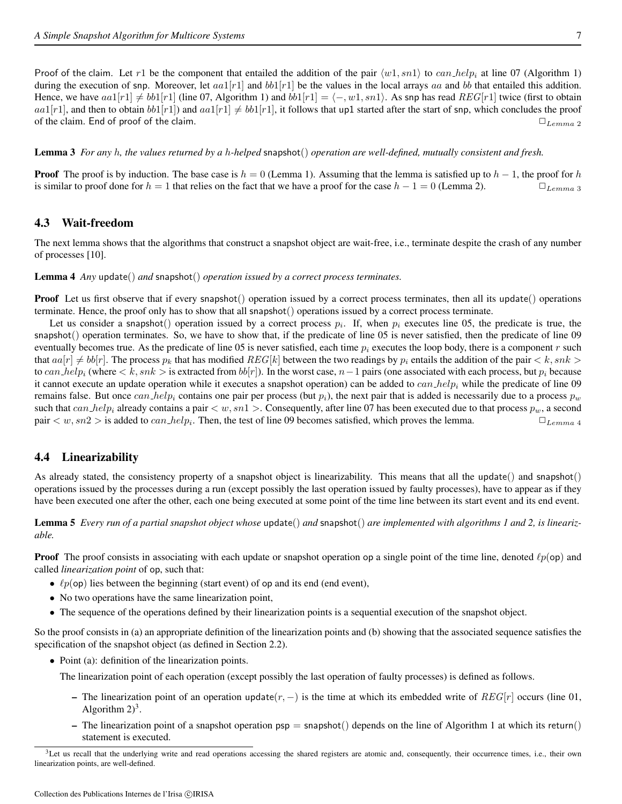Proof of the claim. Let r1 be the component that entailed the addition of the pair  $\langle w1, sn1 \rangle$  to can help<sub>i</sub> at line 07 (Algorithm 1) during the execution of snp. Moreover, let  $aa1[r1]$  and  $bb1[r1]$  be the values in the local arrays aa and bb that entailed this addition. Hence, we have  $aa1[r1] \neq bb1[r1]$  (line 07, Algorithm 1) and  $bb1[r1] = \langle -, w1, sn1 \rangle$ . As snp has read  $REG[r1]$  twice (first to obtain  $a\bar{a}1[r1]$ , and then to obtain  $bb1[r1]$ ) and  $a\bar{a}1[r1] \neq bb1[r1]$ , it follows that up1 started after the start of snp, which concludes the proof of the claim. End of proof of the claim.  $\Box$ 

Lemma 3 *For any* h*, the values returned by a* h*-helped* snapshot() *operation are well-defined, mutually consistent and fresh.*

**Proof** The proof is by induction. The base case is  $h = 0$  (Lemma 1). Assuming that the lemma is satisfied up to  $h - 1$ , the proof for h is similar to proof done for  $h = 1$  that relies on the fact that we have a proof for the case  $h - 1 = 0$  (Lemma 2).  $\Box$ 

#### 4.3 Wait-freedom

The next lemma shows that the algorithms that construct a snapshot object are wait-free, i.e., terminate despite the crash of any number of processes [10].

Lemma 4 *Any* update() *and* snapshot() *operation issued by a correct process terminates.*

**Proof** Let us first observe that if every snapshot() operation issued by a correct process terminates, then all its update() operations terminate. Hence, the proof only has to show that all snapshot() operations issued by a correct process terminate.

Let us consider a snapshot() operation issued by a correct process  $p_i$ . If, when  $p_i$  executes line 05, the predicate is true, the snapshot() operation terminates. So, we have to show that, if the predicate of line 05 is never satisfied, then the predicate of line 09 eventually becomes true. As the predicate of line 05 is never satisfied, each time  $p_i$  executes the loop body, there is a component r such that  $aa[r] \neq bb[r]$ . The process  $p_k$  that has modified  $REG[k]$  between the two readings by  $p_i$  entails the addition of the pair  $\lt k, snk$ to can help<sub>i</sub> (where  $\lt k, snk >$  is extracted from  $bb[r]$ ). In the worst case,  $n-1$  pairs (one associated with each process, but  $p_i$  because it cannot execute an update operation while it executes a snapshot operation) can be added to  $can_-help_i$  while the predicate of line 09 remains false. But once can help<sub>i</sub> contains one pair per process (but  $p_i$ ), the next pair that is added is necessarily due to a process  $p_w$ such that  $can_-help_i$  already contains a pair  $\lt w, sn1 >$ . Consequently, after line 07 has been executed due to that process  $p_w$ , a second pair  $\lt w, sn2 >$  is added to  $can\_help_i$ . Then, the test of line 09 becomes satisfied, which proves the lemma.

#### 4.4 Linearizability

As already stated, the consistency property of a snapshot object is linearizability. This means that all the update() and snapshot() operations issued by the processes during a run (except possibly the last operation issued by faulty processes), have to appear as if they have been executed one after the other, each one being executed at some point of the time line between its start event and its end event.

Lemma 5 *Every run of a partial snapshot object whose* update() *and* snapshot() *are implemented with algorithms 1 and 2, is linearizable.*

**Proof** The proof consists in associating with each update or snapshot operation op a single point of the time line, denoted  $\ell_p$ (op) and called *linearization point* of op, such that:

- $\ell p(\text{op})$  lies between the beginning (start event) of op and its end (end event),
- No two operations have the same linearization point,
- The sequence of the operations defined by their linearization points is a sequential execution of the snapshot object.

So the proof consists in (a) an appropriate definition of the linearization points and (b) showing that the associated sequence satisfies the specification of the snapshot object (as defined in Section 2.2).

• Point (a): definition of the linearization points.

The linearization point of each operation (except possibly the last operation of faulty processes) is defined as follows.

- The linearization point of an operation update(r, –) is the time at which its embedded write of REG[r] occurs (line 01, Algorithm  $2)^3$ .
- The linearization point of a snapshot operation  $psp =$  snapshot() depends on the line of Algorithm 1 at which its return() statement is executed.

<sup>&</sup>lt;sup>3</sup>Let us recall that the underlying write and read operations accessing the shared registers are atomic and, consequently, their occurrence times, i.e., their own linearization points, are well-defined.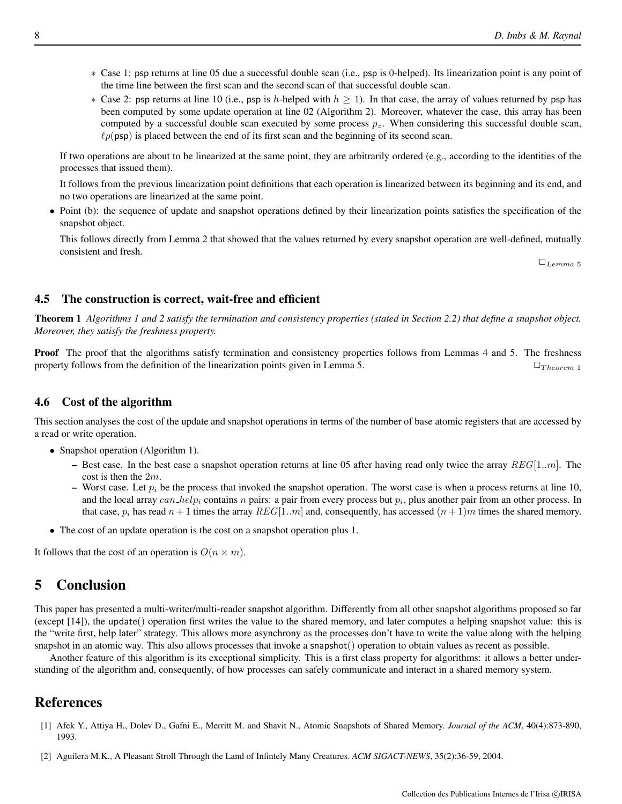- ∗ Case 1: psp returns at line 05 due a successful double scan (i.e., psp is 0-helped). Its linearization point is any point of the time line between the first scan and the second scan of that successful double scan.
- $\ast$  Case 2: psp returns at line 10 (i.e., psp is h-helped with  $h \ge 1$ ). In that case, the array of values returned by psp has been computed by some update operation at line 02 (Algorithm 2). Moreover, whatever the case, this array has been computed by a successful double scan executed by some process  $p<sub>z</sub>$ . When considering this successful double scan,  $\ell_p(psp)$  is placed between the end of its first scan and the beginning of its second scan.

If two operations are about to be linearized at the same point, they are arbitrarily ordered (e.g., according to the identities of the processes that issued them).

It follows from the previous linearization point definitions that each operation is linearized between its beginning and its end, and no two operations are linearized at the same point.

• Point (b): the sequence of update and snapshot operations defined by their linearization points satisfies the specification of the snapshot object.

This follows directly from Lemma 2 that showed that the values returned by every snapshot operation are well-defined, mutually consistent and fresh.

 $\square_{Lemma\ 5}$ 

#### 4.5 The construction is correct, wait-free and efficient

Theorem 1 *Algorithms 1 and 2 satisfy the termination and consistency properties (stated in Section 2.2) that define a snapshot object. Moreover, they satisfy the freshness property.*

Proof The proof that the algorithms satisfy termination and consistency properties follows from Lemmas 4 and 5. The freshness property follows from the definition of the linearization points given in Lemma 5.  $\Box_{Theorem 1}$ 

#### 4.6 Cost of the algorithm

This section analyses the cost of the update and snapshot operations in terms of the number of base atomic registers that are accessed by a read or write operation.

- Snapshot operation (Algorithm 1).
	- Best case. In the best case a snapshot operation returns at line 05 after having read only twice the array  $REG[1..m]$ . The cost is then the 2m.
	- Worst case. Let  $p_i$  be the process that invoked the snapshot operation. The worst case is when a process returns at line 10, and the local array  $can_{\text{.}help_i}$  contains n pairs: a pair from every process but  $p_i$ , plus another pair from an other process. In that case,  $p_i$  has read  $n+1$  times the array  $REG[1..m]$  and, consequently, has accessed  $(n+1)m$  times the shared memory.
- The cost of an update operation is the cost on a snapshot operation plus 1.

It follows that the cost of an operation is  $O(n \times m)$ .

### 5 Conclusion

This paper has presented a multi-writer/multi-reader snapshot algorithm. Differently from all other snapshot algorithms proposed so far (except [14]), the update() operation first writes the value to the shared memory, and later computes a helping snapshot value: this is the "write first, help later" strategy. This allows more asynchrony as the processes don't have to write the value along with the helping snapshot in an atomic way. This also allows processes that invoke a snapshot() operation to obtain values as recent as possible.

Another feature of this algorithm is its exceptional simplicity. This is a first class property for algorithms: it allows a better understanding of the algorithm and, consequently, of how processes can safely communicate and interact in a shared memory system.

### References

- [1] Afek Y., Attiya H., Dolev D., Gafni E., Merritt M. and Shavit N., Atomic Snapshots of Shared Memory. *Journal of the ACM*, 40(4):873-890, 1993.
- [2] Aguilera M.K., A Pleasant Stroll Through the Land of Infintely Many Creatures. *ACM SIGACT-NEWS*, 35(2):36-59, 2004.